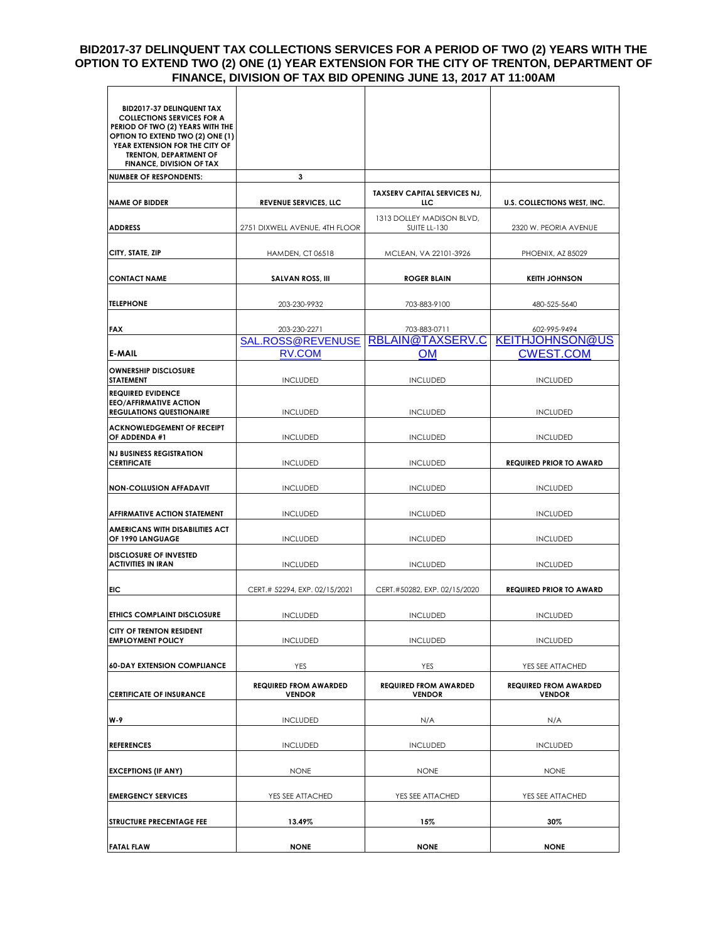## **BID2017-37 DELINQUENT TAX COLLECTIONS SERVICES FOR A PERIOD OF TWO (2) YEARS WITH THE OPTION TO EXTEND TWO (2) ONE (1) YEAR EXTENSION FOR THE CITY OF TRENTON, DEPARTMENT OF FINANCE, DIVISION OF TAX BID OPENING JUNE 13, 2017 AT 11:00AM**  $\blacksquare$

| <b>BID2017-37 DELINQUENT TAX</b><br><b>COLLECTIONS SERVICES FOR A</b><br>PERIOD OF TWO (2) YEARS WITH THE<br><b>OPTION TO EXTEND TWO (2) ONE (1)</b><br>YEAR EXTENSION FOR THE CITY OF<br><b>TRENTON, DEPARTMENT OF</b><br><b>FINANCE, DIVISION OF TAX</b> |                                               |                                               |                                               |
|------------------------------------------------------------------------------------------------------------------------------------------------------------------------------------------------------------------------------------------------------------|-----------------------------------------------|-----------------------------------------------|-----------------------------------------------|
| <b>NUMBER OF RESPONDENTS:</b>                                                                                                                                                                                                                              | 3                                             |                                               |                                               |
| <b>NAME OF BIDDER</b>                                                                                                                                                                                                                                      | <b>REVENUE SERVICES, LLC</b>                  | <b>TAXSERV CAPITAL SERVICES NJ,</b><br>LLC.   | U.S. COLLECTIONS WEST, INC.                   |
| <b>ADDRESS</b>                                                                                                                                                                                                                                             | 2751 DIXWELL AVENUE, 4TH FLOOR                | 1313 DOLLEY MADISON BLVD,<br>SUITE LL-130     | 2320 W. PEORIA AVENUE                         |
| CITY, STATE, ZIP                                                                                                                                                                                                                                           | <b>HAMDEN, CT 06518</b>                       | MCLEAN, VA 22101-3926                         | PHOENIX, AZ 85029                             |
| CONTACT NAME                                                                                                                                                                                                                                               | <b>SALVAN ROSS, III</b>                       | <b>ROGER BLAIN</b>                            | <b>KEITH JOHNSON</b>                          |
| <b>TELEPHONE</b>                                                                                                                                                                                                                                           | 203-230-9932                                  | 703-883-9100                                  | 480-525-5640                                  |
| <b>FAX</b>                                                                                                                                                                                                                                                 | 203-230-2271<br>SAL.ROSS@REVENUSE             | 703-883-0711<br>RBLAIN@TAXSERV.C              | 602-995-9494<br><b>KEITHJOHNSON@US</b>        |
| <b>IE-MAIL</b>                                                                                                                                                                                                                                             | <b>RV.COM</b>                                 | OM                                            | <b>CWEST.COM</b>                              |
| <b>OWNERSHIP DISCLOSURE</b><br><b>STATEMENT</b>                                                                                                                                                                                                            | <b>INCLUDED</b>                               | <b>INCLUDED</b>                               | <b>INCLUDED</b>                               |
| <b>REQUIRED EVIDENCE</b><br><b>EEO/AFFIRMATIVE ACTION</b><br><b>REGULATIONS QUESTIONAIRE</b>                                                                                                                                                               | <b>INCLUDED</b>                               | <b>INCLUDED</b>                               | <b>INCLUDED</b>                               |
| <b>ACKNOWLEDGEMENT OF RECEIPT</b><br>IOF ADDENDA #1                                                                                                                                                                                                        | <b>INCLUDED</b>                               | <b>INCLUDED</b>                               | <b>INCLUDED</b>                               |
| <b>NJ BUSINESS REGISTRATION</b><br><b>CERTIFICATE</b>                                                                                                                                                                                                      | <b>INCLUDED</b>                               | <b>INCLUDED</b>                               | <b>REQUIRED PRIOR TO AWARD</b>                |
| <b>NON-COLLUSION AFFADAVIT</b>                                                                                                                                                                                                                             | <b>INCLUDED</b>                               | <b>INCLUDED</b>                               | <b>INCLUDED</b>                               |
| <b>AFFIRMATIVE ACTION STATEMENT</b>                                                                                                                                                                                                                        | <b>INCLUDED</b>                               | <b>INCLUDED</b>                               | <b>INCLUDED</b>                               |
| <b>AMERICANS WITH DISABILITIES ACT</b><br>OF 1990 LANGUAGE                                                                                                                                                                                                 | <b>INCLUDED</b>                               | <b>INCLUDED</b>                               | <b>INCLUDED</b>                               |
| <b>DISCLOSURE OF INVESTED</b><br><b>ACTIVITIES IN IRAN</b>                                                                                                                                                                                                 | <b>INCLUDED</b>                               | <b>INCLUDED</b>                               | <b>INCLUDED</b>                               |
| <b>EIC</b>                                                                                                                                                                                                                                                 | CERT.# 52294, EXP. 02/15/2021                 | CERT.#50282, EXP. 02/15/2020                  | <b>REQUIRED PRIOR TO AWARD</b>                |
| <b>ETHICS COMPLAINT DISCLOSURE</b>                                                                                                                                                                                                                         | <b>INCLUDED</b>                               | <b>INCLUDED</b>                               | <b>INCLUDED</b>                               |
| <b>CITY OF TRENTON RESIDENT</b><br><b>EMPLOYMENT POLICY</b>                                                                                                                                                                                                | <b>INCLUDED</b>                               | <b>INCLUDED</b>                               | <b>INCLUDED</b>                               |
| <b>60-DAY EXTENSION COMPLIANCE</b>                                                                                                                                                                                                                         | YES                                           | <b>YES</b>                                    | YES SEE ATTACHED                              |
| <b>CERTIFICATE OF INSURANCE</b>                                                                                                                                                                                                                            | <b>REQUIRED FROM AWARDED</b><br><b>VENDOR</b> | <b>REQUIRED FROM AWARDED</b><br><b>VENDOR</b> | <b>REQUIRED FROM AWARDED</b><br><b>VENDOR</b> |
| $W-9$                                                                                                                                                                                                                                                      | <b>INCLUDED</b>                               | N/A                                           | N/A                                           |
| <b>REFERENCES</b>                                                                                                                                                                                                                                          | <b>INCLUDED</b>                               | <b>INCLUDED</b>                               | <b>INCLUDED</b>                               |
| <b>EXCEPTIONS (IF ANY)</b>                                                                                                                                                                                                                                 | <b>NONE</b>                                   | <b>NONE</b>                                   | <b>NONE</b>                                   |
| <b>EMERGENCY SERVICES</b>                                                                                                                                                                                                                                  | YES SEE ATTACHED                              | YES SEE ATTACHED                              | YES SEE ATTACHED                              |
| <b>STRUCTURE PRECENTAGE FEE</b>                                                                                                                                                                                                                            | 13.49%                                        | 15%                                           | 30%                                           |
| <b>FATAL FLAW</b>                                                                                                                                                                                                                                          | <b>NONE</b>                                   | <b>NONE</b>                                   | <b>NONE</b>                                   |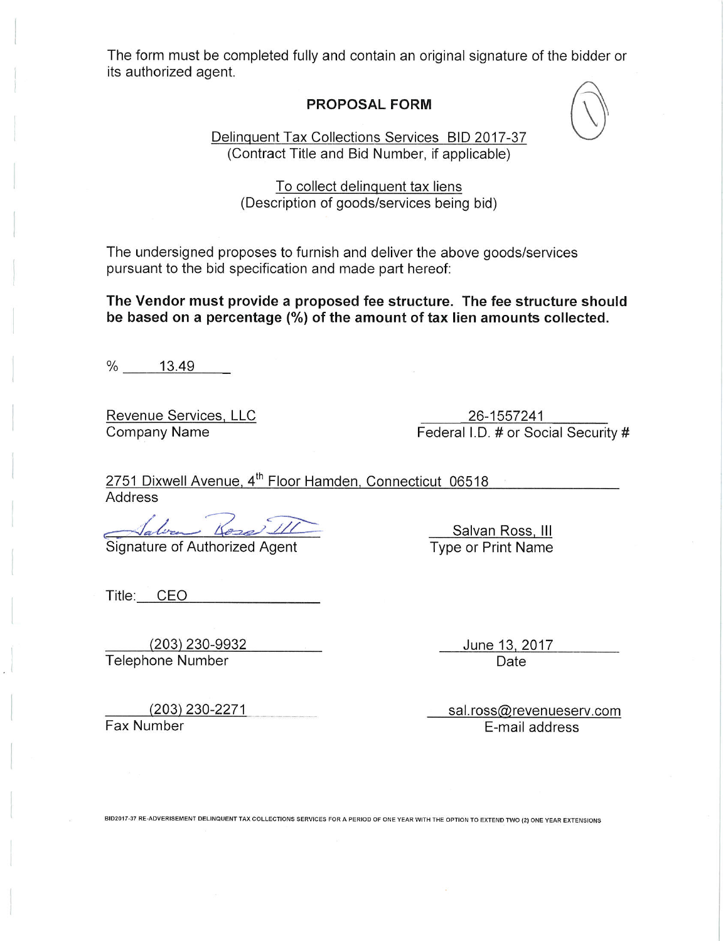The form must be completed fully and contain an original signature of the bidder or its authorized agent.

## **PROPOSAL FORM**

Delinquent Tax Collections Services BID 2017-37 (Contract Title and Bid Number, if applicable)

To collect delinguent tax liens (Description of goods/services being bid)

The undersigned proposes to furnish and deliver the above goods/services pursuant to the bid specification and made part hereof:

The Vendor must provide a proposed fee structure. The fee structure should be based on a percentage (%) of the amount of tax lien amounts collected.

% 13.49

Revenue Services, LLC **Company Name** 

26-1557241<br>Federal I.D. # or Social Security #

2751 Dixwell Avenue, 4<sup>th</sup> Floor Hamden, Connecticut 06518 Address

<u>Salver Kose III</u><br>Signature of Authorized Agent

Title: CEO

 $(203)$  230-9932 Telephone Number

Salvan Ross, III Type or Print Name

> June 13, 2017 Date

 $(203)$  230-2271 Fax Number

sal.ross@revenueserv.com E-mail address

BID2017-37 RE-ADVERISEMENT DELINQUENT TAX COLLECTIONS SERVICES FOR A PERIOD OF ONE YEAR WITH THE OPTION TO EXTEND TWO (2) ONE YEAR EXTENSIONS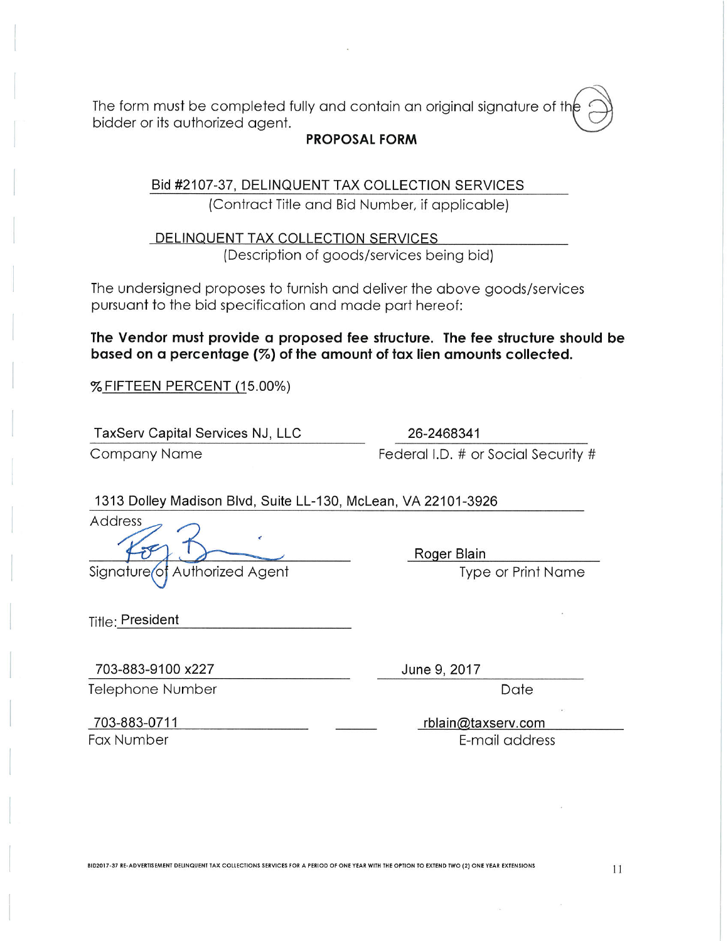The form must be completed fully and contain an original signature of the bidder or its authorized agent.

## **PROPOSAL FORM**

Bid #2107-37, DELINQUENT TAX COLLECTION SERVICES (Contract Title and Bid Number, if applicable)

DELINQUENT TAX COLLECTION SERVICES (Description of goods/services being bid)

The undersigned proposes to furnish and deliver the above goods/services pursuant to the bid specification and made part hereof:

The Vendor must provide a proposed fee structure. The fee structure should be based on a percentage (%) of the amount of tax lien amounts collected.

% FIFTEEN PERCENT (15.00%)

TaxServ Capital Services NJ, LLC

**Company Name** 

26-2468341 Federal I.D. # or Social Security #

1313 Dolley Madison Blvd, Suite LL-130, McLean, VA 22101-3926

Address

Signature of Authorized Agent

Roger Blain

**Type or Print Name** 

Title: President

703-883-9100 x227 Telephone Number June 9, 2017

Date

703-883-0711

**Fax Number** 

rblain@taxserv.com E-mail address